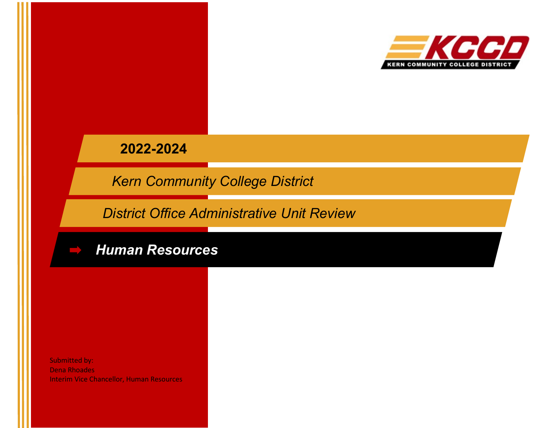

**2022-2024**

*Kern Community College District*

*District Office Administrative Unit Review*



Submitted by: Dena Rhoades Interim Vice Chancellor, Human Resources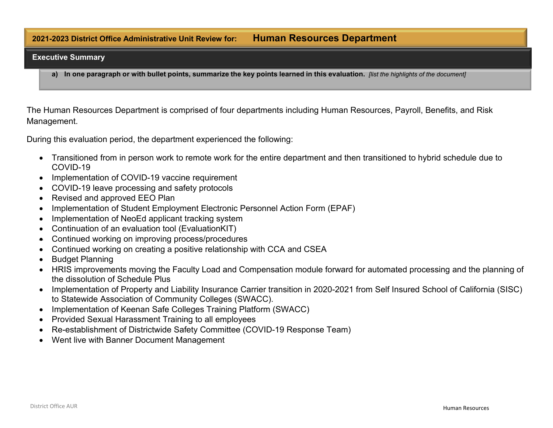# **2021-2023 District Office Administrative Unit Review for: Human Resources Department**

#### **Executive Summary**

a) In one paragraph or with bullet points, summarize the key points learned in this evaluation. *Jlist the highlights of the document]* 

The Human Resources Department is comprised of four departments including Human Resources, Payroll, Benefits, and Risk Management.

During this evaluation period, the department experienced the following:

- Transitioned from in person work to remote work for the entire department and then transitioned to hybrid schedule due to COVID-19
- Implementation of COVID-19 vaccine requirement
- COVID-19 leave processing and safety protocols
- Revised and approved EEO Plan
- Implementation of Student Employment Electronic Personnel Action Form (EPAF)
- Implementation of NeoEd applicant tracking system
- Continuation of an evaluation tool (EvaluationKIT)
- Continued working on improving process/procedures
- Continued working on creating a positive relationship with CCA and CSEA
- Budget Planning
- HRIS improvements moving the Faculty Load and Compensation module forward for automated processing and the planning of the dissolution of Schedule Plus
- Implementation of Property and Liability Insurance Carrier transition in 2020-2021 from Self Insured School of California (SISC) to Statewide Association of Community Colleges (SWACC).
- Implementation of Keenan Safe Colleges Training Platform (SWACC)
- Provided Sexual Harassment Training to all employees
- Re-establishment of Districtwide Safety Committee (COVID-19 Response Team)
- Went live with Banner Document Management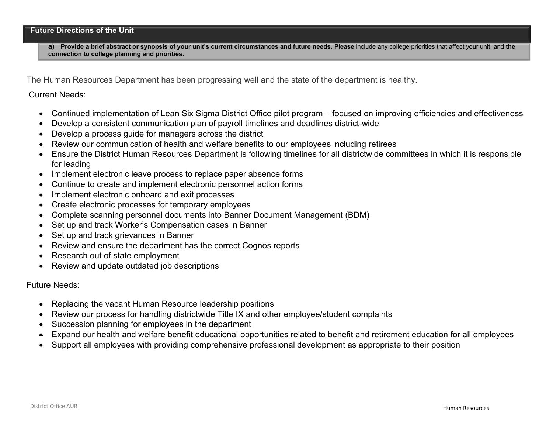**a) Provide a brief abstract or synopsis of your unit's current circumstances and future needs. Please** include any college priorities that affect your unit, and **the connection to college planning and priorities.**

The Human Resources Department has been progressing well and the state of the department is healthy.

Current Needs:

- Continued implementation of Lean Six Sigma District Office pilot program focused on improving efficiencies and effectiveness
- Develop a consistent communication plan of payroll timelines and deadlines district-wide
- Develop a process guide for managers across the district
- Review our communication of health and welfare benefits to our employees including retirees
- Ensure the District Human Resources Department is following timelines for all districtwide committees in which it is responsible for leading
- Implement electronic leave process to replace paper absence forms
- Continue to create and implement electronic personnel action forms
- Implement electronic onboard and exit processes
- Create electronic processes for temporary employees
- Complete scanning personnel documents into Banner Document Management (BDM)
- Set up and track Worker's Compensation cases in Banner
- Set up and track grievances in Banner
- Review and ensure the department has the correct Cognos reports
- Research out of state employment
- Review and update outdated job descriptions

Future Needs:

- Replacing the vacant Human Resource leadership positions
- Review our process for handling districtwide Title IX and other employee/student complaints
- Succession planning for employees in the department
- Expand our health and welfare benefit educational opportunities related to benefit and retirement education for all employees
- Support all employees with providing comprehensive professional development as appropriate to their position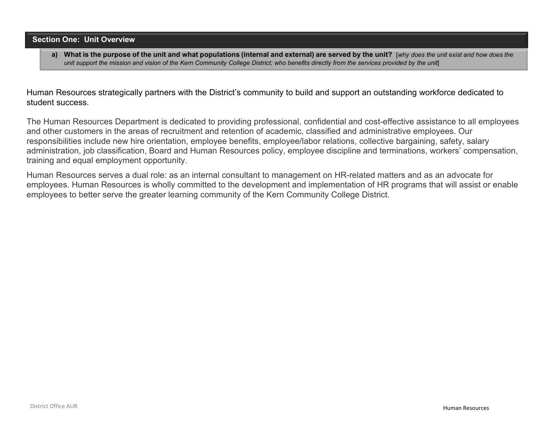### **Section One: Unit Overview**

a) What is the purpose of the unit and what populations (internal and external) are served by the unit? [why does the unit exist and how does the unit support the mission and vision of the Kern Community College District; who benefits directly from the services provided by the unit

Human Resources strategically partners with the District's community to build and support an outstanding workforce dedicated to student success.

The Human Resources Department is dedicated to providing professional, confidential and cost-effective assistance to all employees and other customers in the areas of recruitment and retention of academic, classified and administrative employees. Our responsibilities include new hire orientation, employee benefits, employee/labor relations, collective bargaining, safety, salary administration, job classification, Board and Human Resources policy, employee discipline and terminations, workers' compensation, training and equal employment opportunity.

Human Resources serves a dual role: as an internal consultant to management on HR-related matters and as an advocate for employees. Human Resources is wholly committed to the development and implementation of HR programs that will assist or enable employees to better serve the greater learning community of the Kern Community College District.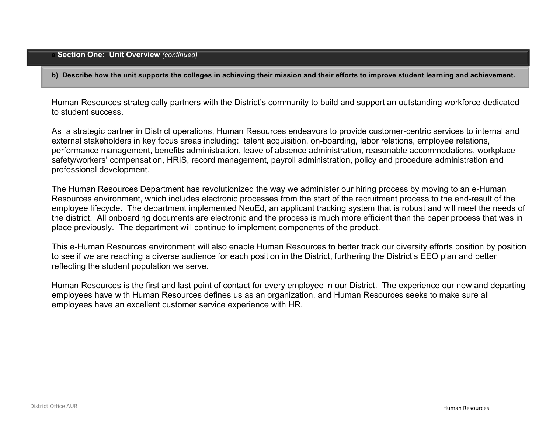### **a Section One: Unit Overview** *(continued)*

**b) Describe how the unit supports the colleges in achieving their mission and their efforts to improve student learning and achievement.** 

Human Resources strategically partners with the District's community to build and support an outstanding workforce dedicated to student success.

As a strategic partner in District operations, Human Resources endeavors to provide customer-centric services to internal and external stakeholders in key focus areas including: talent acquisition, on-boarding, labor relations, employee relations, performance management, benefits administration, leave of absence administration, reasonable accommodations, workplace safety/workers' compensation, HRIS, record management, payroll administration, policy and procedure administration and professional development.

The Human Resources Department has revolutionized the way we administer our hiring process by moving to an e-Human Resources environment, which includes electronic processes from the start of the recruitment process to the end-result of the employee lifecycle. The department implemented NeoEd, an applicant tracking system that is robust and will meet the needs of the district. All onboarding documents are electronic and the process is much more efficient than the paper process that was in place previously. The department will continue to implement components of the product.

This e-Human Resources environment will also enable Human Resources to better track our diversity efforts position by position to see if we are reaching a diverse audience for each position in the District, furthering the District's EEO plan and better reflecting the student population we serve.

Human Resources is the first and last point of contact for every employee in our District. The experience our new and departing employees have with Human Resources defines us as an organization, and Human Resources seeks to make sure all employees have an excellent customer service experience with HR.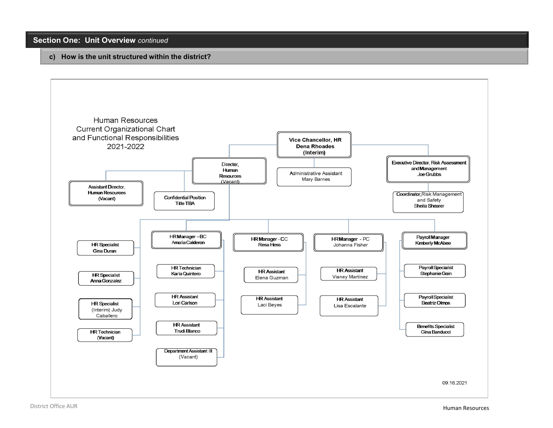## **Section One: Unit Overview** *continued*

#### **c) How is the unit structured within the district?**

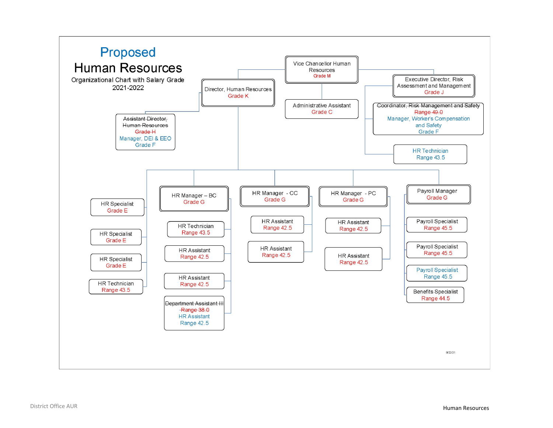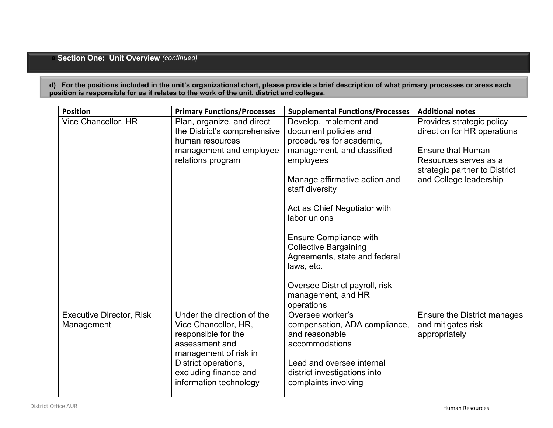# **a Section One: Unit Overview** *(continued)*

**d) For the positions included in the unit's organizational chart, please provide a brief description of what primary processes or areas each position is responsible for as it relates to the work of the unit, district and colleges.**

| <b>Position</b>                               | <b>Primary Functions/Processes</b>                                                                                                                                    | <b>Supplemental Functions/Processes</b>                                                                                                            | <b>Additional notes</b>                                                            |
|-----------------------------------------------|-----------------------------------------------------------------------------------------------------------------------------------------------------------------------|----------------------------------------------------------------------------------------------------------------------------------------------------|------------------------------------------------------------------------------------|
| Vice Chancellor, HR                           | Plan, organize, and direct                                                                                                                                            | Develop, implement and                                                                                                                             | Provides strategic policy                                                          |
|                                               | the District's comprehensive                                                                                                                                          | document policies and                                                                                                                              | direction for HR operations                                                        |
|                                               | human resources                                                                                                                                                       | procedures for academic,                                                                                                                           |                                                                                    |
|                                               | management and employee<br>relations program                                                                                                                          | management, and classified<br>employees                                                                                                            | <b>Ensure that Human</b><br>Resources serves as a<br>strategic partner to District |
|                                               |                                                                                                                                                                       | Manage affirmative action and<br>staff diversity                                                                                                   | and College leadership                                                             |
|                                               |                                                                                                                                                                       | Act as Chief Negotiator with<br>labor unions                                                                                                       |                                                                                    |
|                                               |                                                                                                                                                                       | <b>Ensure Compliance with</b><br><b>Collective Bargaining</b><br>Agreements, state and federal<br>laws, etc.                                       |                                                                                    |
|                                               |                                                                                                                                                                       | Oversee District payroll, risk<br>management, and HR<br>operations                                                                                 |                                                                                    |
| <b>Executive Director, Risk</b><br>Management | Under the direction of the<br>Vice Chancellor, HR,<br>responsible for the<br>assessment and<br>management of risk in<br>District operations,<br>excluding finance and | Oversee worker's<br>compensation, ADA compliance,<br>and reasonable<br>accommodations<br>Lead and oversee internal<br>district investigations into | Ensure the District manages<br>and mitigates risk<br>appropriately                 |
|                                               | information technology                                                                                                                                                | complaints involving                                                                                                                               |                                                                                    |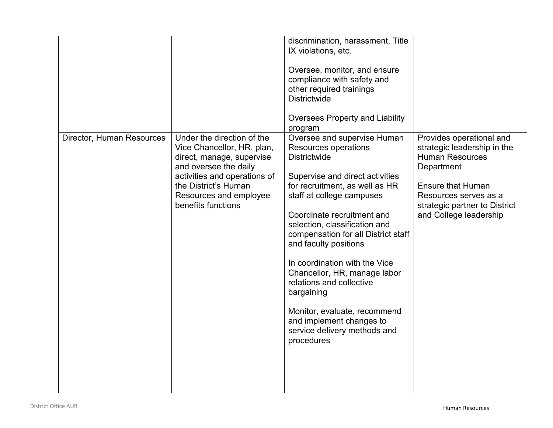|                           |                                                                                                                                                                                                                        | discrimination, harassment, Title<br>IX violations, etc.<br>Oversee, monitor, and ensure<br>compliance with safety and<br>other required trainings<br><b>Districtwide</b><br><b>Oversees Property and Liability</b><br>program                                                                                                                                                                                                                                                                                                   |                                                                                                                                                                                                                 |
|---------------------------|------------------------------------------------------------------------------------------------------------------------------------------------------------------------------------------------------------------------|----------------------------------------------------------------------------------------------------------------------------------------------------------------------------------------------------------------------------------------------------------------------------------------------------------------------------------------------------------------------------------------------------------------------------------------------------------------------------------------------------------------------------------|-----------------------------------------------------------------------------------------------------------------------------------------------------------------------------------------------------------------|
| Director, Human Resources | Under the direction of the<br>Vice Chancellor, HR, plan,<br>direct, manage, supervise<br>and oversee the daily<br>activities and operations of<br>the District's Human<br>Resources and employee<br>benefits functions | Oversee and supervise Human<br>Resources operations<br><b>Districtwide</b><br>Supervise and direct activities<br>for recruitment, as well as HR<br>staff at college campuses<br>Coordinate recruitment and<br>selection, classification and<br>compensation for all District staff<br>and faculty positions<br>In coordination with the Vice<br>Chancellor, HR, manage labor<br>relations and collective<br>bargaining<br>Monitor, evaluate, recommend<br>and implement changes to<br>service delivery methods and<br>procedures | Provides operational and<br>strategic leadership in the<br><b>Human Resources</b><br>Department<br><b>Ensure that Human</b><br>Resources serves as a<br>strategic partner to District<br>and College leadership |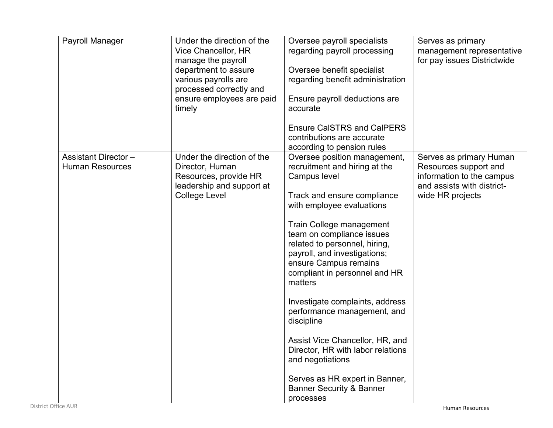| Payroll Manager                                       | Under the direction of the<br>Vice Chancellor, HR<br>manage the payroll<br>department to assure<br>various payrolls are<br>processed correctly and<br>ensure employees are paid<br>timely | Oversee payroll specialists<br>regarding payroll processing<br>Oversee benefit specialist<br>regarding benefit administration<br>Ensure payroll deductions are<br>accurate<br><b>Ensure CalSTRS and CalPERS</b><br>contributions are accurate                                                                                                                                                                                                                                                                                                                                                                                            | Serves as primary<br>management representative<br>for pay issues Districtwide                                                   |
|-------------------------------------------------------|-------------------------------------------------------------------------------------------------------------------------------------------------------------------------------------------|------------------------------------------------------------------------------------------------------------------------------------------------------------------------------------------------------------------------------------------------------------------------------------------------------------------------------------------------------------------------------------------------------------------------------------------------------------------------------------------------------------------------------------------------------------------------------------------------------------------------------------------|---------------------------------------------------------------------------------------------------------------------------------|
| <b>Assistant Director -</b><br><b>Human Resources</b> | Under the direction of the<br>Director, Human<br>Resources, provide HR<br>leadership and support at<br><b>College Level</b>                                                               | according to pension rules<br>Oversee position management,<br>recruitment and hiring at the<br>Campus level<br>Track and ensure compliance<br>with employee evaluations<br>Train College management<br>team on compliance issues<br>related to personnel, hiring,<br>payroll, and investigations;<br>ensure Campus remains<br>compliant in personnel and HR<br>matters<br>Investigate complaints, address<br>performance management, and<br>discipline<br>Assist Vice Chancellor, HR, and<br>Director, HR with labor relations<br>and negotiations<br>Serves as HR expert in Banner,<br><b>Banner Security &amp; Banner</b><br>processes | Serves as primary Human<br>Resources support and<br>information to the campus<br>and assists with district-<br>wide HR projects |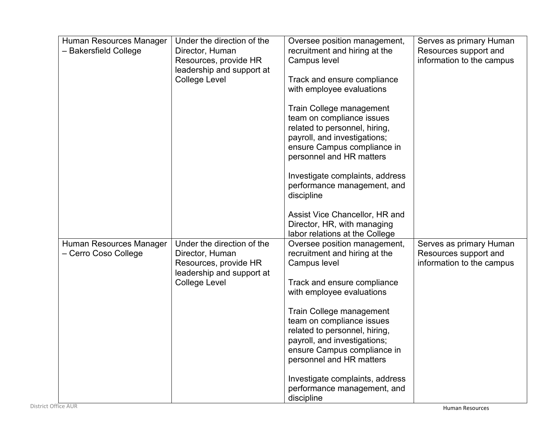| Human Resources Manager<br>- Bakersfield College | Under the direction of the<br>Director, Human<br>Resources, provide HR<br>leadership and support at<br><b>College Level</b> | Oversee position management,<br>recruitment and hiring at the<br>Campus level<br>Track and ensure compliance<br>with employee evaluations<br>Train College management<br>team on compliance issues<br>related to personnel, hiring,<br>payroll, and investigations;<br>ensure Campus compliance in<br>personnel and HR matters                                                                                 | Serves as primary Human<br>Resources support and<br>information to the campus |
|--------------------------------------------------|-----------------------------------------------------------------------------------------------------------------------------|----------------------------------------------------------------------------------------------------------------------------------------------------------------------------------------------------------------------------------------------------------------------------------------------------------------------------------------------------------------------------------------------------------------|-------------------------------------------------------------------------------|
|                                                  |                                                                                                                             | Investigate complaints, address<br>performance management, and<br>discipline<br>Assist Vice Chancellor, HR and<br>Director, HR, with managing<br>labor relations at the College                                                                                                                                                                                                                                |                                                                               |
| Human Resources Manager<br>- Cerro Coso College  | Under the direction of the<br>Director, Human<br>Resources, provide HR<br>leadership and support at<br><b>College Level</b> | Oversee position management,<br>recruitment and hiring at the<br>Campus level<br>Track and ensure compliance<br>with employee evaluations<br>Train College management<br>team on compliance issues<br>related to personnel, hiring,<br>payroll, and investigations;<br>ensure Campus compliance in<br>personnel and HR matters<br>Investigate complaints, address<br>performance management, and<br>discipline | Serves as primary Human<br>Resources support and<br>information to the campus |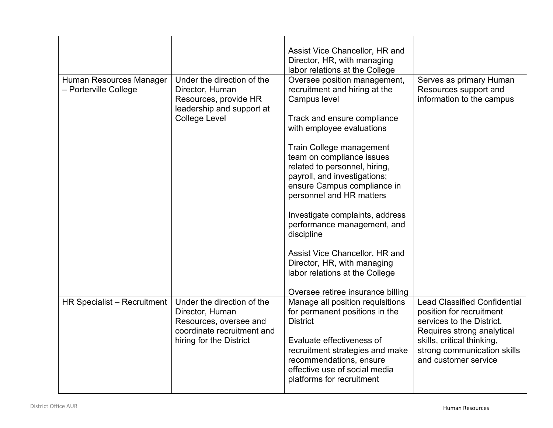|                                                  |                                                                                                                                  | Assist Vice Chancellor, HR and<br>Director, HR, with managing<br>labor relations at the College                                                                                                                                                                                                                                                                                                                                                                                                                                                        |                                                                                                                                                                                                                 |
|--------------------------------------------------|----------------------------------------------------------------------------------------------------------------------------------|--------------------------------------------------------------------------------------------------------------------------------------------------------------------------------------------------------------------------------------------------------------------------------------------------------------------------------------------------------------------------------------------------------------------------------------------------------------------------------------------------------------------------------------------------------|-----------------------------------------------------------------------------------------------------------------------------------------------------------------------------------------------------------------|
| Human Resources Manager<br>- Porterville College | Under the direction of the<br>Director, Human<br>Resources, provide HR<br>leadership and support at<br><b>College Level</b>      | Oversee position management,<br>recruitment and hiring at the<br>Campus level<br>Track and ensure compliance<br>with employee evaluations<br>Train College management<br>team on compliance issues<br>related to personnel, hiring,<br>payroll, and investigations;<br>ensure Campus compliance in<br>personnel and HR matters<br>Investigate complaints, address<br>performance management, and<br>discipline<br>Assist Vice Chancellor, HR and<br>Director, HR, with managing<br>labor relations at the College<br>Oversee retiree insurance billing | Serves as primary Human<br>Resources support and<br>information to the campus                                                                                                                                   |
| HR Specialist - Recruitment                      | Under the direction of the<br>Director, Human<br>Resources, oversee and<br>coordinate recruitment and<br>hiring for the District | Manage all position requisitions<br>for permanent positions in the<br><b>District</b><br>Evaluate effectiveness of<br>recruitment strategies and make<br>recommendations, ensure<br>effective use of social media<br>platforms for recruitment                                                                                                                                                                                                                                                                                                         | <b>Lead Classified Confidential</b><br>position for recruitment<br>services to the District.<br>Requires strong analytical<br>skills, critical thinking,<br>strong communication skills<br>and customer service |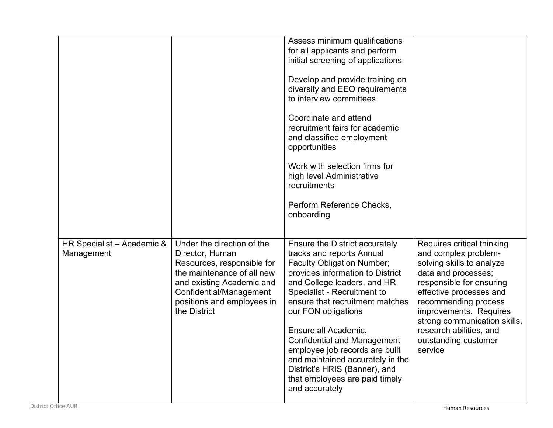|                                          |                                                                                                                                                                                                                 | Assess minimum qualifications<br>for all applicants and perform<br>initial screening of applications<br>Develop and provide training on<br>diversity and EEO requirements<br>to interview committees<br>Coordinate and attend<br>recruitment fairs for academic<br>and classified employment<br>opportunities<br>Work with selection firms for<br>high level Administrative<br>recruitments<br>Perform Reference Checks,<br>onboarding                                                |                                                                                                                                                                                                                                                                                                               |
|------------------------------------------|-----------------------------------------------------------------------------------------------------------------------------------------------------------------------------------------------------------------|---------------------------------------------------------------------------------------------------------------------------------------------------------------------------------------------------------------------------------------------------------------------------------------------------------------------------------------------------------------------------------------------------------------------------------------------------------------------------------------|---------------------------------------------------------------------------------------------------------------------------------------------------------------------------------------------------------------------------------------------------------------------------------------------------------------|
| HR Specialist - Academic &<br>Management | Under the direction of the<br>Director, Human<br>Resources, responsible for<br>the maintenance of all new<br>and existing Academic and<br>Confidential/Management<br>positions and employees in<br>the District | Ensure the District accurately<br>tracks and reports Annual<br><b>Faculty Obligation Number;</b><br>provides information to District<br>and College leaders, and HR<br>Specialist - Recruitment to<br>ensure that recruitment matches<br>our FON obligations<br>Ensure all Academic,<br><b>Confidential and Management</b><br>employee job records are built<br>and maintained accurately in the<br>District's HRIS (Banner), and<br>that employees are paid timely<br>and accurately | Requires critical thinking<br>and complex problem-<br>solving skills to analyze<br>data and processes;<br>responsible for ensuring<br>effective processes and<br>recommending process<br>improvements. Requires<br>strong communication skills,<br>research abilities, and<br>outstanding customer<br>service |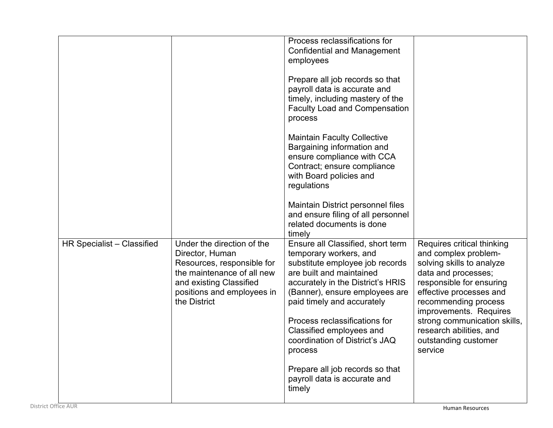|                            |                                                                                                                                                                                    | Process reclassifications for<br><b>Confidential and Management</b><br>employees<br>Prepare all job records so that<br>payroll data is accurate and<br>timely, including mastery of the<br><b>Faculty Load and Compensation</b><br>process<br><b>Maintain Faculty Collective</b><br>Bargaining information and<br>ensure compliance with CCA<br>Contract; ensure compliance<br>with Board policies and<br>regulations<br>Maintain District personnel files<br>and ensure filing of all personnel<br>related documents is done |                                                                                                                                                                                                                                                                                                               |
|----------------------------|------------------------------------------------------------------------------------------------------------------------------------------------------------------------------------|-------------------------------------------------------------------------------------------------------------------------------------------------------------------------------------------------------------------------------------------------------------------------------------------------------------------------------------------------------------------------------------------------------------------------------------------------------------------------------------------------------------------------------|---------------------------------------------------------------------------------------------------------------------------------------------------------------------------------------------------------------------------------------------------------------------------------------------------------------|
| HR Specialist - Classified | Under the direction of the<br>Director, Human<br>Resources, responsible for<br>the maintenance of all new<br>and existing Classified<br>positions and employees in<br>the District | timely<br>Ensure all Classified, short term<br>temporary workers, and<br>substitute employee job records<br>are built and maintained<br>accurately in the District's HRIS<br>(Banner), ensure employees are<br>paid timely and accurately<br>Process reclassifications for<br>Classified employees and<br>coordination of District's JAQ<br>process<br>Prepare all job records so that<br>payroll data is accurate and<br>timely                                                                                              | Requires critical thinking<br>and complex problem-<br>solving skills to analyze<br>data and processes;<br>responsible for ensuring<br>effective processes and<br>recommending process<br>improvements. Requires<br>strong communication skills,<br>research abilities, and<br>outstanding customer<br>service |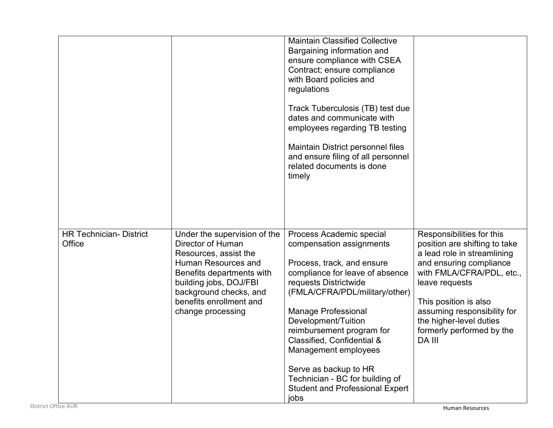|                                          |                                                                                                                                                                                                                                    | <b>Maintain Classified Collective</b><br>Bargaining information and<br>ensure compliance with CSEA<br>Contract; ensure compliance<br>with Board policies and<br>regulations<br>Track Tuberculosis (TB) test due<br>dates and communicate with<br>employees regarding TB testing<br>Maintain District personnel files<br>and ensure filing of all personnel<br>related documents is done<br>timely                                      |                                                                                                                                                                                                                                                                                               |
|------------------------------------------|------------------------------------------------------------------------------------------------------------------------------------------------------------------------------------------------------------------------------------|----------------------------------------------------------------------------------------------------------------------------------------------------------------------------------------------------------------------------------------------------------------------------------------------------------------------------------------------------------------------------------------------------------------------------------------|-----------------------------------------------------------------------------------------------------------------------------------------------------------------------------------------------------------------------------------------------------------------------------------------------|
| <b>HR Technician- District</b><br>Office | Under the supervision of the<br>Director of Human<br>Resources, assist the<br>Human Resources and<br>Benefits departments with<br>building jobs, DOJ/FBI<br>background checks, and<br>benefits enrollment and<br>change processing | Process Academic special<br>compensation assignments<br>Process, track, and ensure<br>compliance for leave of absence<br>requests Districtwide<br>(FMLA/CFRA/PDL/military/other)<br><b>Manage Professional</b><br>Development/Tuition<br>reimbursement program for<br>Classified, Confidential &<br>Management employees<br>Serve as backup to HR<br>Technician - BC for building of<br><b>Student and Professional Expert</b><br>jobs | Responsibilities for this<br>position are shifting to take<br>a lead role in streamlining<br>and ensuring compliance<br>with FMLA/CFRA/PDL, etc.,<br>leave requests<br>This position is also<br>assuming responsibility for<br>the higher-level duties<br>formerly performed by the<br>DA III |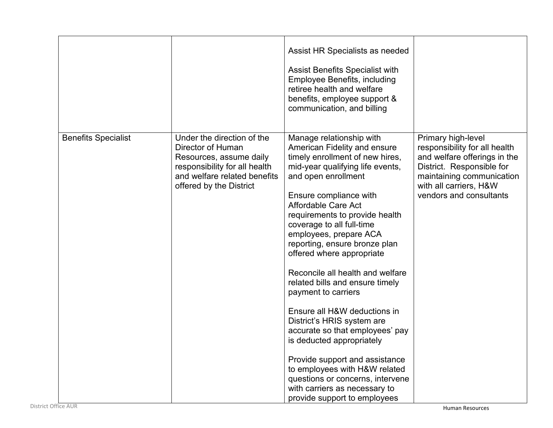|                            |                                                                                                                                                                        | Assist HR Specialists as needed<br><b>Assist Benefits Specialist with</b><br><b>Employee Benefits, including</b><br>retiree health and welfare<br>benefits, employee support &<br>communication, and billing                                                                                                                                                                                                                                                                                                                                                                                                                                                                                                                                                       |                                                                                                                                                                                                    |
|----------------------------|------------------------------------------------------------------------------------------------------------------------------------------------------------------------|--------------------------------------------------------------------------------------------------------------------------------------------------------------------------------------------------------------------------------------------------------------------------------------------------------------------------------------------------------------------------------------------------------------------------------------------------------------------------------------------------------------------------------------------------------------------------------------------------------------------------------------------------------------------------------------------------------------------------------------------------------------------|----------------------------------------------------------------------------------------------------------------------------------------------------------------------------------------------------|
| <b>Benefits Specialist</b> | Under the direction of the<br>Director of Human<br>Resources, assume daily<br>responsibility for all health<br>and welfare related benefits<br>offered by the District | Manage relationship with<br>American Fidelity and ensure<br>timely enrollment of new hires,<br>mid-year qualifying life events,<br>and open enrollment<br>Ensure compliance with<br>Affordable Care Act<br>requirements to provide health<br>coverage to all full-time<br>employees, prepare ACA<br>reporting, ensure bronze plan<br>offered where appropriate<br>Reconcile all health and welfare<br>related bills and ensure timely<br>payment to carriers<br>Ensure all H&W deductions in<br>District's HRIS system are<br>accurate so that employees' pay<br>is deducted appropriately<br>Provide support and assistance<br>to employees with H&W related<br>questions or concerns, intervene<br>with carriers as necessary to<br>provide support to employees | Primary high-level<br>responsibility for all health<br>and welfare offerings in the<br>District. Responsible for<br>maintaining communication<br>with all carriers, H&W<br>vendors and consultants |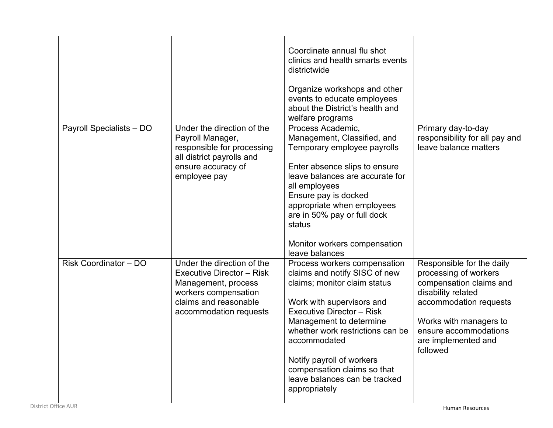|                          |                                                                                                                                                                  | Coordinate annual flu shot<br>clinics and health smarts events<br>districtwide<br>Organize workshops and other<br>events to educate employees<br>about the District's health and<br>welfare programs                                                                                                                                                        |                                                                                                                                                                                                                     |
|--------------------------|------------------------------------------------------------------------------------------------------------------------------------------------------------------|-------------------------------------------------------------------------------------------------------------------------------------------------------------------------------------------------------------------------------------------------------------------------------------------------------------------------------------------------------------|---------------------------------------------------------------------------------------------------------------------------------------------------------------------------------------------------------------------|
| Payroll Specialists - DO | Under the direction of the<br>Payroll Manager,<br>responsible for processing<br>all district payrolls and<br>ensure accuracy of<br>employee pay                  | Process Academic,<br>Management, Classified, and<br>Temporary employee payrolls<br>Enter absence slips to ensure<br>leave balances are accurate for<br>all employees<br>Ensure pay is docked<br>appropriate when employees<br>are in 50% pay or full dock<br>status<br>Monitor workers compensation<br>leave balances                                       | Primary day-to-day<br>responsibility for all pay and<br>leave balance matters                                                                                                                                       |
| Risk Coordinator - DO    | Under the direction of the<br><b>Executive Director - Risk</b><br>Management, process<br>workers compensation<br>claims and reasonable<br>accommodation requests | Process workers compensation<br>claims and notify SISC of new<br>claims; monitor claim status<br>Work with supervisors and<br><b>Executive Director - Risk</b><br>Management to determine<br>whether work restrictions can be<br>accommodated<br>Notify payroll of workers<br>compensation claims so that<br>leave balances can be tracked<br>appropriately | Responsible for the daily<br>processing of workers<br>compensation claims and<br>disability related<br>accommodation requests<br>Works with managers to<br>ensure accommodations<br>are implemented and<br>followed |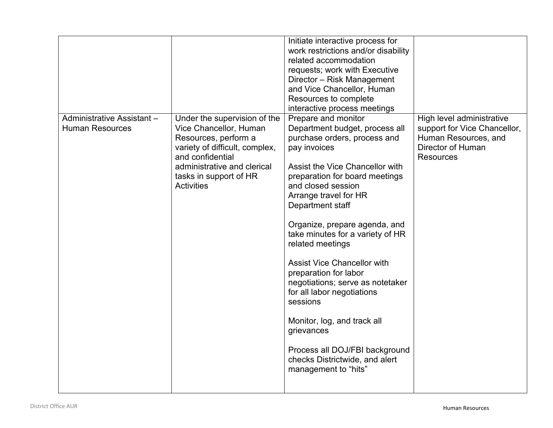|                                                      |                                                                                                                                                                                                                    | Initiate interactive process for<br>work restrictions and/or disability<br>related accommodation<br>requests; work with Executive<br>Director - Risk Management<br>and Vice Chancellor, Human<br>Resources to complete<br>interactive process meetings                                                                                                                                                                                                                                                                                                                                                                       |                                                                                                                            |
|------------------------------------------------------|--------------------------------------------------------------------------------------------------------------------------------------------------------------------------------------------------------------------|------------------------------------------------------------------------------------------------------------------------------------------------------------------------------------------------------------------------------------------------------------------------------------------------------------------------------------------------------------------------------------------------------------------------------------------------------------------------------------------------------------------------------------------------------------------------------------------------------------------------------|----------------------------------------------------------------------------------------------------------------------------|
| Administrative Assistant -<br><b>Human Resources</b> | Under the supervision of the<br>Vice Chancellor, Human<br>Resources, perform a<br>variety of difficult, complex,<br>and confidential<br>administrative and clerical<br>tasks in support of HR<br><b>Activities</b> | Prepare and monitor<br>Department budget, process all<br>purchase orders, process and<br>pay invoices<br>Assist the Vice Chancellor with<br>preparation for board meetings<br>and closed session<br>Arrange travel for HR<br>Department staff<br>Organize, prepare agenda, and<br>take minutes for a variety of HR<br>related meetings<br><b>Assist Vice Chancellor with</b><br>preparation for labor<br>negotiations; serve as notetaker<br>for all labor negotiations<br>sessions<br>Monitor, log, and track all<br>grievances<br>Process all DOJ/FBI background<br>checks Districtwide, and alert<br>management to "hits" | High level administrative<br>support for Vice Chancellor,<br>Human Resources, and<br>Director of Human<br><b>Resources</b> |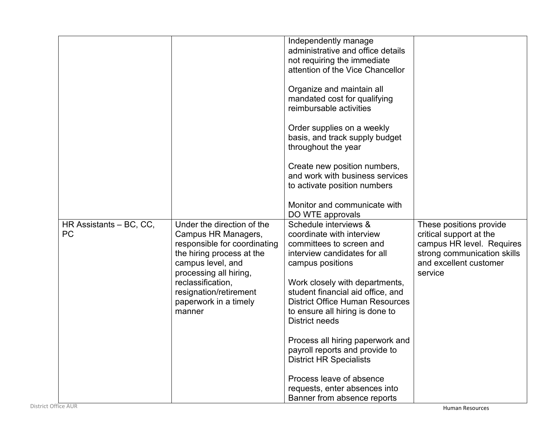|                         |                                                     | Independently manage<br>administrative and office details                                       |                                                      |
|-------------------------|-----------------------------------------------------|-------------------------------------------------------------------------------------------------|------------------------------------------------------|
|                         |                                                     | not requiring the immediate<br>attention of the Vice Chancellor                                 |                                                      |
|                         |                                                     | Organize and maintain all                                                                       |                                                      |
|                         |                                                     | mandated cost for qualifying<br>reimbursable activities                                         |                                                      |
|                         |                                                     | Order supplies on a weekly<br>basis, and track supply budget<br>throughout the year             |                                                      |
|                         |                                                     | Create new position numbers,<br>and work with business services<br>to activate position numbers |                                                      |
|                         |                                                     | Monitor and communicate with<br>DO WTE approvals                                                |                                                      |
| HR Assistants - BC, CC, | Under the direction of the                          | Schedule interviews &                                                                           | These positions provide                              |
| <b>PC</b>               | Campus HR Managers,<br>responsible for coordinating | coordinate with interview<br>committees to screen and                                           | critical support at the<br>campus HR level. Requires |
|                         | the hiring process at the                           | interview candidates for all                                                                    | strong communication skills                          |
|                         | campus level, and                                   | campus positions                                                                                | and excellent customer                               |
|                         | processing all hiring,<br>reclassification,         |                                                                                                 | service                                              |
|                         | resignation/retirement                              | Work closely with departments,<br>student financial aid office, and                             |                                                      |
|                         | paperwork in a timely                               | <b>District Office Human Resources</b>                                                          |                                                      |
|                         | manner                                              | to ensure all hiring is done to<br>District needs                                               |                                                      |
|                         |                                                     | Process all hiring paperwork and                                                                |                                                      |
|                         |                                                     | payroll reports and provide to                                                                  |                                                      |
|                         |                                                     | <b>District HR Specialists</b>                                                                  |                                                      |
|                         |                                                     | Process leave of absence                                                                        |                                                      |
|                         |                                                     | requests, enter absences into                                                                   |                                                      |
|                         |                                                     | Banner from absence reports                                                                     |                                                      |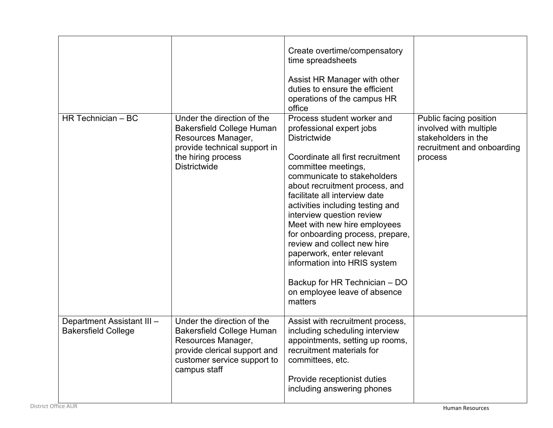|                                                          |                                                                                                                                                                     | Create overtime/compensatory<br>time spreadsheets<br>Assist HR Manager with other<br>duties to ensure the efficient<br>operations of the campus HR<br>office                                                                                                                                                                                                                                                                                                                                                                                            |                                                                                                                  |
|----------------------------------------------------------|---------------------------------------------------------------------------------------------------------------------------------------------------------------------|---------------------------------------------------------------------------------------------------------------------------------------------------------------------------------------------------------------------------------------------------------------------------------------------------------------------------------------------------------------------------------------------------------------------------------------------------------------------------------------------------------------------------------------------------------|------------------------------------------------------------------------------------------------------------------|
| HR Technician - BC                                       | Under the direction of the<br><b>Bakersfield College Human</b><br>Resources Manager,<br>provide technical support in<br>the hiring process<br><b>Districtwide</b>   | Process student worker and<br>professional expert jobs<br><b>Districtwide</b><br>Coordinate all first recruitment<br>committee meetings,<br>communicate to stakeholders<br>about recruitment process, and<br>facilitate all interview date<br>activities including testing and<br>interview question review<br>Meet with new hire employees<br>for onboarding process, prepare,<br>review and collect new hire<br>paperwork, enter relevant<br>information into HRIS system<br>Backup for HR Technician - DO<br>on employee leave of absence<br>matters | Public facing position<br>involved with multiple<br>stakeholders in the<br>recruitment and onboarding<br>process |
| Department Assistant III -<br><b>Bakersfield College</b> | Under the direction of the<br><b>Bakersfield College Human</b><br>Resources Manager,<br>provide clerical support and<br>customer service support to<br>campus staff | Assist with recruitment process,<br>including scheduling interview<br>appointments, setting up rooms,<br>recruitment materials for<br>committees, etc.<br>Provide receptionist duties<br>including answering phones                                                                                                                                                                                                                                                                                                                                     |                                                                                                                  |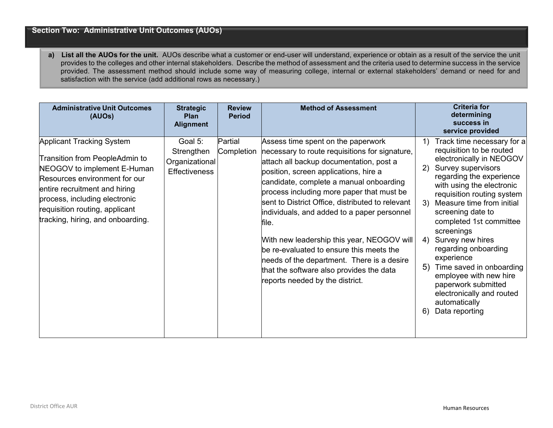## **Section Two: Administrative Unit Outcomes (AUOs)**

**a) List all the AUOs for the unit.** AUOs describe what a customer or end-user will understand, experience or obtain as a result of the service the unit provides to the colleges and other internal stakeholders. Describe the method of assessment and the criteria used to determine success in the service provided. The assessment method should include some way of measuring college, internal or external stakeholders' demand or need for and satisfaction with the service (add additional rows as necessary.)

| <b>Administrative Unit Outcomes</b><br>(AUOs)                                                                                                                                                                                                                               | <b>Strategic</b><br><b>Plan</b><br><b>Alignment</b>             | <b>Review</b><br><b>Period</b> | <b>Method of Assessment</b>                                                                                                                                                                                                                                                                                                                                                                                                                                                                                                                                                                         |                                  | <b>Criteria for</b><br>determining<br>success in<br>service provided                                                                                                                                                                                                                                                                                                                                                                                                                              |
|-----------------------------------------------------------------------------------------------------------------------------------------------------------------------------------------------------------------------------------------------------------------------------|-----------------------------------------------------------------|--------------------------------|-----------------------------------------------------------------------------------------------------------------------------------------------------------------------------------------------------------------------------------------------------------------------------------------------------------------------------------------------------------------------------------------------------------------------------------------------------------------------------------------------------------------------------------------------------------------------------------------------------|----------------------------------|---------------------------------------------------------------------------------------------------------------------------------------------------------------------------------------------------------------------------------------------------------------------------------------------------------------------------------------------------------------------------------------------------------------------------------------------------------------------------------------------------|
| <b>Applicant Tracking System</b><br>Transition from PeopleAdmin to<br>NEOGOV to implement E-Human<br>Resources environment for our<br>entire recruitment and hiring<br>process, including electronic<br>requisition routing, applicant<br>tracking, hiring, and onboarding. | Goal 5:<br>Strengthen<br>Organizational<br><b>Effectiveness</b> | Partial<br>Completion          | Assess time spent on the paperwork<br>necessary to route requisitions for signature,<br>attach all backup documentation, post a<br>position, screen applications, hire a<br>candidate, complete a manual onboarding<br>process including more paper that must be<br>sent to District Office, distributed to relevant<br>individuals, and added to a paper personnel<br>file.<br>With new leadership this year, NEOGOV will<br>be re-evaluated to ensure this meets the<br>needs of the department. There is a desire<br>that the software also provides the data<br>reports needed by the district. | 1)<br>2)<br>3)<br>4)<br>5)<br>6) | Track time necessary for a<br>requisition to be routed<br>electronically in NEOGOV<br>Survey supervisors<br>regarding the experience<br>with using the electronic<br>requisition routing system<br>Measure time from initial<br>screening date to<br>completed 1st committee<br>screenings<br>Survey new hires<br>regarding onboarding<br>experience<br>Time saved in onboarding<br>employee with new hire<br>paperwork submitted<br>electronically and routed<br>automatically<br>Data reporting |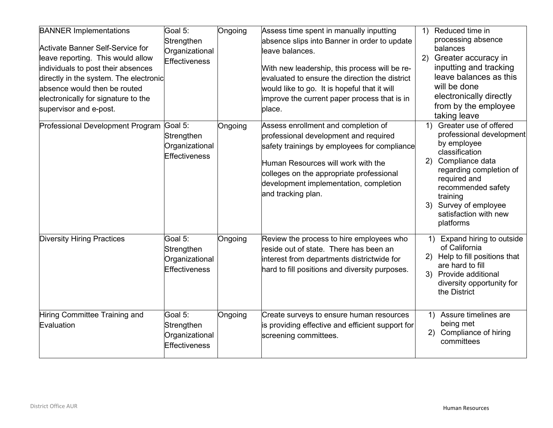| <b>BANNER Implementations</b><br><b>Activate Banner Self-Service for</b><br>leave reporting. This would allow<br>individuals to post their absences<br>directly in the system. The electronic<br>absence would then be routed<br>electronically for signature to the<br>supervisor and e-post. | Goal 5:<br>Strengthen<br>Organizational<br>Effectiveness        | Ongoing | Assess time spent in manually inputting<br>absence slips into Banner in order to update<br>leave balances.<br>With new leadership, this process will be re-<br>evaluated to ensure the direction the district<br>would like to go. It is hopeful that it will<br>improve the current paper process that is in<br>place. | Reduced time in<br>1)<br>processing absence<br>balances<br>Greater accuracy in<br>2)<br>inputting and tracking<br>leave balances as this<br>will be done<br>electronically directly<br>from by the employee<br>taking leave                                    |
|------------------------------------------------------------------------------------------------------------------------------------------------------------------------------------------------------------------------------------------------------------------------------------------------|-----------------------------------------------------------------|---------|-------------------------------------------------------------------------------------------------------------------------------------------------------------------------------------------------------------------------------------------------------------------------------------------------------------------------|----------------------------------------------------------------------------------------------------------------------------------------------------------------------------------------------------------------------------------------------------------------|
| Professional Development Program Goal 5:                                                                                                                                                                                                                                                       | Strengthen<br>Organizational<br><b>Effectiveness</b>            | Ongoing | Assess enrollment and completion of<br>professional development and required<br>safety trainings by employees for compliance<br>Human Resources will work with the<br>colleges on the appropriate professional<br>development implementation, completion<br>and tracking plan.                                          | Greater use of offered<br>1)<br>professional development<br>by employee<br>classification<br>Compliance data<br>2)<br>regarding completion of<br>required and<br>recommended safety<br>training<br>3) Survey of employee<br>satisfaction with new<br>platforms |
| <b>Diversity Hiring Practices</b>                                                                                                                                                                                                                                                              | Goal 5:<br>Strengthen<br>Organizational<br><b>Effectiveness</b> | Ongoing | Review the process to hire employees who<br>reside out of state. There has been an<br>interest from departments districtwide for<br>hard to fill positions and diversity purposes.                                                                                                                                      | 1) Expand hiring to outside<br>of California<br>Help to fill positions that<br>(2)<br>are hard to fill<br>3) Provide additional<br>diversity opportunity for<br>the District                                                                                   |
| Hiring Committee Training and<br>Evaluation                                                                                                                                                                                                                                                    | Goal 5:<br>Strengthen<br>Organizational<br>Effectiveness        | Ongoing | Create surveys to ensure human resources<br>is providing effective and efficient support for<br>screening committees.                                                                                                                                                                                                   | 1) Assure timelines are<br>being met<br>Compliance of hiring<br>2)<br>committees                                                                                                                                                                               |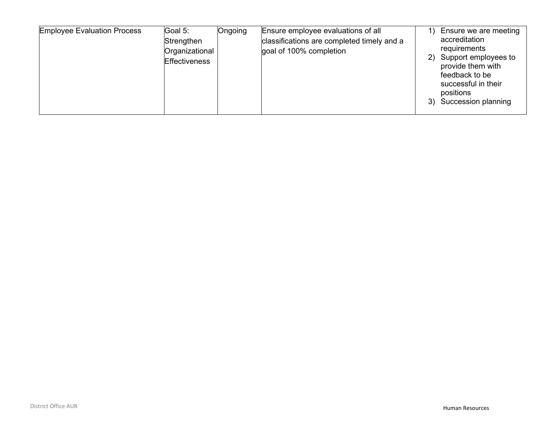| <b>Employee Evaluation Process</b><br>Goal 5:<br>Strengthen<br>Organizational<br>Effectiveness | Ongoing<br>Ensure employee evaluations of all<br>classifications are completed timely and a<br>goal of 100% completion | 2)<br>3) | Ensure we are meeting<br>accreditation<br>requirements<br>Support employees to<br>provide them with<br>feedback to be<br>successful in their<br>positions<br>Succession planning |
|------------------------------------------------------------------------------------------------|------------------------------------------------------------------------------------------------------------------------|----------|----------------------------------------------------------------------------------------------------------------------------------------------------------------------------------|
|------------------------------------------------------------------------------------------------|------------------------------------------------------------------------------------------------------------------------|----------|----------------------------------------------------------------------------------------------------------------------------------------------------------------------------------|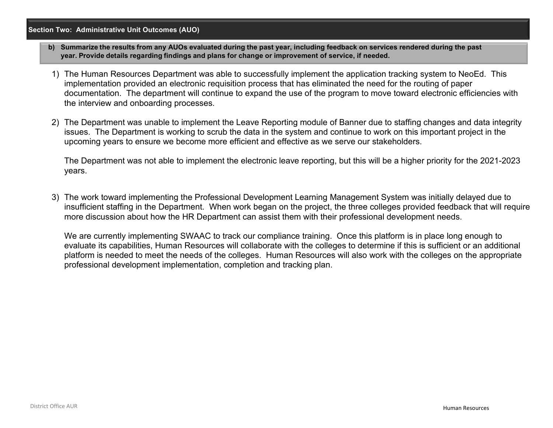#### **Section Two: Administrative Unit Outcomes (AUO)**

- **b) Summarize the results from any AUOs evaluated during the past year, including feedback on services rendered during the past year. Provide details regarding findings and plans for change or improvement of service, if needed.**
- 1) The Human Resources Department was able to successfully implement the application tracking system to NeoEd. This implementation provided an electronic requisition process that has eliminated the need for the routing of paper documentation. The department will continue to expand the use of the program to move toward electronic efficiencies with the interview and onboarding processes.
- 2) The Department was unable to implement the Leave Reporting module of Banner due to staffing changes and data integrity issues. The Department is working to scrub the data in the system and continue to work on this important project in the upcoming years to ensure we become more efficient and effective as we serve our stakeholders.

The Department was not able to implement the electronic leave reporting, but this will be a higher priority for the 2021-2023 years.

3) The work toward implementing the Professional Development Learning Management System was initially delayed due to insufficient staffing in the Department. When work began on the project, the three colleges provided feedback that will require more discussion about how the HR Department can assist them with their professional development needs.

We are currently implementing SWAAC to track our compliance training. Once this platform is in place long enough to evaluate its capabilities, Human Resources will collaborate with the colleges to determine if this is sufficient or an additional platform is needed to meet the needs of the colleges. Human Resources will also work with the colleges on the appropriate professional development implementation, completion and tracking plan.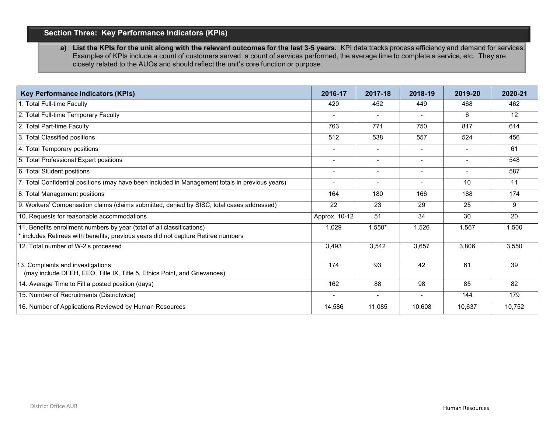# **Section Three: Key Performance Indicators (KPIs)**

a) List the KPIs for the unit along with the relevant outcomes for the last 3-5 years. KPI data tracks process efficiency and demand for services. Examples of KPIs include a count of customers served, a count of services performed, the average time to complete a service, etc. They are closely related to the AUOs and should reflect the unit's core function or purpose.

| <b>Key Performance Indicators (KPIs)</b>                                                                                                                    | 2016-17        | 2017-18 | 2018-19                  | 2019-20                  | 2020-21 |
|-------------------------------------------------------------------------------------------------------------------------------------------------------------|----------------|---------|--------------------------|--------------------------|---------|
| 1. Total Full-time Faculty                                                                                                                                  | 420            | 452     | 449                      | 468                      | 462     |
| 2. Total Full-time Temporary Faculty                                                                                                                        |                |         |                          | 6                        | 12      |
| 2. Total Part-time Faculty                                                                                                                                  | 763            | 771     | 750                      | 817                      | 614     |
| 3. Total Classified positions                                                                                                                               | 512            | 538     | 557                      | 524                      | 456     |
| 4. Total Temporary positions                                                                                                                                |                |         | $\overline{\phantom{a}}$ |                          | 61      |
| 5. Total Professional Expert positions                                                                                                                      |                |         |                          |                          | 548     |
| 6. Total Student positions                                                                                                                                  | $\blacksquare$ |         |                          | $\overline{\phantom{a}}$ | 587     |
| 7. Total Confidential positions (may have been included in Management totals in previous years)                                                             | $\blacksquare$ |         |                          | 10                       | 11      |
| 8. Total Management positions                                                                                                                               | 164            | 180     | 166                      | 188                      | 174     |
| 9. Workers' Compensation claims (claims submitted, denied by SISC, total cases addressed)                                                                   | 22             | 23      | 29                       | 25                       | 9       |
| 10. Requests for reasonable accommodations                                                                                                                  | Approx. 10-12  | 51      | 34                       | 30                       | 20      |
| 11. Benefits enrollment numbers by year (total of all classifications)<br>* includes Retirees with benefits, previous years did not capture Retiree numbers | 1.029          | 1,550*  | 1.526                    | 1,567                    | 1,500   |
| 12. Total number of W-2's processed                                                                                                                         | 3,493          | 3,542   | 3,657                    | 3,806                    | 3,550   |
| 13. Complaints and investigations<br>(may include DFEH, EEO, Title IX, Title 5, Ethics Point, and Grievances)                                               | 174            | 93      | 42                       | 61                       | 39      |
| 14. Average Time to Fill a posted position (days)                                                                                                           | 162            | 88      | 98                       | 85                       | 82      |
| 15. Number of Recruitments (Districtwide)                                                                                                                   |                |         |                          | 144                      | 179     |
| 16. Number of Applications Reviewed by Human Resources                                                                                                      | 14,586         | 11.085  | 10.608                   | 10.637                   | 10,752  |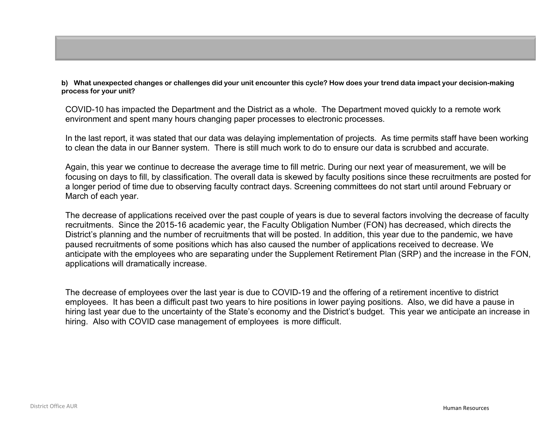**b) What unexpected changes or challenges did your unit encounter this cycle? How does your trend data impact your decision-making process for your unit?** 

COVID-10 has impacted the Department and the District as a whole. The Department moved quickly to a remote work environment and spent many hours changing paper processes to electronic processes.

In the last report, it was stated that our data was delaying implementation of projects. As time permits staff have been working to clean the data in our Banner system. There is still much work to do to ensure our data is scrubbed and accurate.

Again, this year we continue to decrease the average time to fill metric. During our next year of measurement, we will be focusing on days to fill, by classification. The overall data is skewed by faculty positions since these recruitments are posted for a longer period of time due to observing faculty contract days. Screening committees do not start until around February or March of each year.

The decrease of applications received over the past couple of years is due to several factors involving the decrease of faculty recruitments. Since the 2015-16 academic year, the Faculty Obligation Number (FON) has decreased, which directs the District's planning and the number of recruitments that will be posted. In addition, this year due to the pandemic, we have paused recruitments of some positions which has also caused the number of applications received to decrease. We anticipate with the employees who are separating under the Supplement Retirement Plan (SRP) and the increase in the FON, applications will dramatically increase.

The decrease of employees over the last year is due to COVID-19 and the offering of a retirement incentive to district employees. It has been a difficult past two years to hire positions in lower paying positions. Also, we did have a pause in hiring last year due to the uncertainty of the State's economy and the District's budget. This year we anticipate an increase in hiring. Also with COVID case management of employees is more difficult.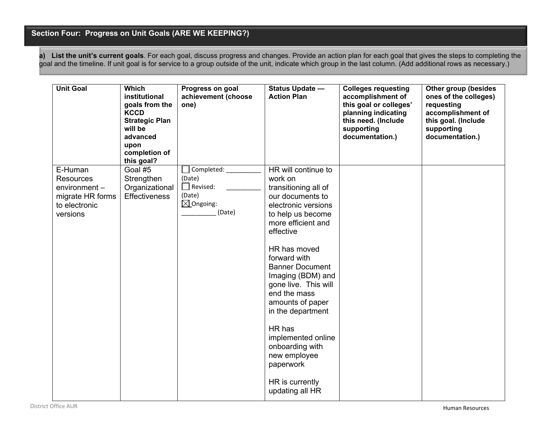# **Section Four: Progress on Unit Goals (ARE WE KEEPING?)**

**a) List the unit's current goals**. For each goal, discuss progress and changes. Provide an action plan for each goal that gives the steps to completing the goal and the timeline. If unit goal is for service to a group outside of the unit, indicate which group in the last column. (Add additional rows as necessary.)

| <b>Unit Goal</b>                                                                             | <b>Which</b><br>institutional<br>goals from the<br><b>KCCD</b><br><b>Strategic Plan</b><br>will be<br>advanced<br>upon<br>completion of<br>this goal? | Progress on goal<br>achievement (choose<br>one)                                     | Status Update -<br><b>Action Plan</b>                                                                                                                                                                                                                                                                                                                                                                                                           | <b>Colleges requesting</b><br>accomplishment of<br>this goal or colleges'<br>planning indicating<br>this need. (Include<br>supporting<br>documentation.) | Other group (besides<br>ones of the colleges)<br>requesting<br>accomplishment of<br>this goal. (Include<br>supporting<br>documentation.) |
|----------------------------------------------------------------------------------------------|-------------------------------------------------------------------------------------------------------------------------------------------------------|-------------------------------------------------------------------------------------|-------------------------------------------------------------------------------------------------------------------------------------------------------------------------------------------------------------------------------------------------------------------------------------------------------------------------------------------------------------------------------------------------------------------------------------------------|----------------------------------------------------------------------------------------------------------------------------------------------------------|------------------------------------------------------------------------------------------------------------------------------------------|
| E-Human<br><b>Resources</b><br>environment-<br>migrate HR forms<br>to electronic<br>versions | Goal #5<br>Strengthen<br>Organizational<br><b>Effectiveness</b>                                                                                       | Completed:<br>(Date)<br>$\Box$ Revised:<br>(Date)<br>$\boxtimes$ Ongoing:<br>(Date) | HR will continue to<br>work on<br>transitioning all of<br>our documents to<br>electronic versions<br>to help us become<br>more efficient and<br>effective<br>HR has moved<br>forward with<br><b>Banner Document</b><br>Imaging (BDM) and<br>gone live. This will<br>end the mass<br>amounts of paper<br>in the department<br>HR has<br>implemented online<br>onboarding with<br>new employee<br>paperwork<br>HR is currently<br>updating all HR |                                                                                                                                                          |                                                                                                                                          |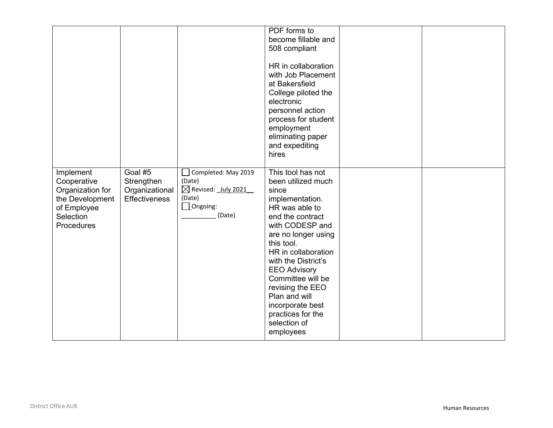|                                                                                                           |                                                                 |                                                                                                                                          | PDF forms to<br>become fillable and<br>508 compliant<br>HR in collaboration<br>with Job Placement<br>at Bakersfield<br>College piloted the<br>electronic<br>personnel action<br>process for student<br>employment<br>eliminating paper<br>and expediting<br>hires                                                                                                      |  |
|-----------------------------------------------------------------------------------------------------------|-----------------------------------------------------------------|------------------------------------------------------------------------------------------------------------------------------------------|------------------------------------------------------------------------------------------------------------------------------------------------------------------------------------------------------------------------------------------------------------------------------------------------------------------------------------------------------------------------|--|
| Implement<br>Cooperative<br>Organization for<br>the Development<br>of Employee<br>Selection<br>Procedures | Goal #5<br>Strengthen<br>Organizational<br><b>Effectiveness</b> | Completed: May 2019<br>(Date)<br>$\boxtimes$ Revised: $\frac{\text{July }2021}$<br>(Date)<br>$\mathbf{\underline{1}}$ Ongoing:<br>(Date) | This tool has not<br>been utilized much<br>since<br>implementation.<br>HR was able to<br>end the contract<br>with CODESP and<br>are no longer using<br>this tool.<br>HR in collaboration<br>with the District's<br><b>EEO Advisory</b><br>Committee will be<br>revising the EEO<br>Plan and will<br>incorporate best<br>practices for the<br>selection of<br>employees |  |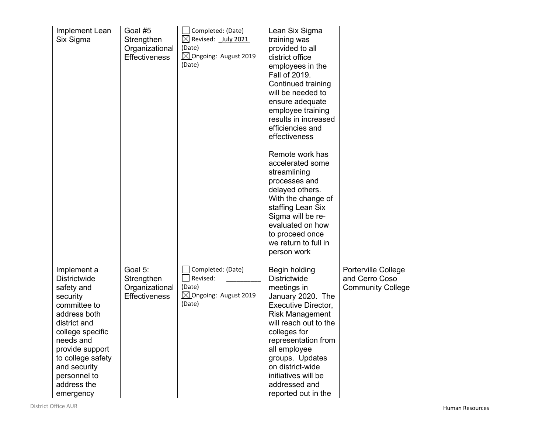| Implement Lean      | Goal #5              | Completed: (Date)                 | Lean Six Sigma             |                          |  |
|---------------------|----------------------|-----------------------------------|----------------------------|--------------------------|--|
| Six Sigma           | Strengthen           | $\boxtimes$<br>Revised: July 2021 | training was               |                          |  |
|                     | Organizational       | (Date)                            | provided to all            |                          |  |
|                     | <b>Effectiveness</b> | $\boxtimes$ Ongoing: August 2019  | district office            |                          |  |
|                     |                      | (Date)                            | employees in the           |                          |  |
|                     |                      |                                   | Fall of 2019.              |                          |  |
|                     |                      |                                   | Continued training         |                          |  |
|                     |                      |                                   | will be needed to          |                          |  |
|                     |                      |                                   | ensure adequate            |                          |  |
|                     |                      |                                   | employee training          |                          |  |
|                     |                      |                                   | results in increased       |                          |  |
|                     |                      |                                   | efficiencies and           |                          |  |
|                     |                      |                                   | effectiveness              |                          |  |
|                     |                      |                                   | Remote work has            |                          |  |
|                     |                      |                                   | accelerated some           |                          |  |
|                     |                      |                                   | streamlining               |                          |  |
|                     |                      |                                   | processes and              |                          |  |
|                     |                      |                                   | delayed others.            |                          |  |
|                     |                      |                                   | With the change of         |                          |  |
|                     |                      |                                   | staffing Lean Six          |                          |  |
|                     |                      |                                   | Sigma will be re-          |                          |  |
|                     |                      |                                   | evaluated on how           |                          |  |
|                     |                      |                                   | to proceed once            |                          |  |
|                     |                      |                                   | we return to full in       |                          |  |
|                     |                      |                                   | person work                |                          |  |
| Implement a         | Goal 5:              | Completed: (Date)                 | Begin holding              | Porterville College      |  |
| <b>Districtwide</b> | Strengthen           | Revised:                          | <b>Districtwide</b>        | and Cerro Coso           |  |
| safety and          | Organizational       | (Date)                            | meetings in                | <b>Community College</b> |  |
| security            | <b>Effectiveness</b> | $\boxtimes$ Ongoing: August 2019  | January 2020. The          |                          |  |
| committee to        |                      | (Date)                            | <b>Executive Director,</b> |                          |  |
| address both        |                      |                                   | <b>Risk Management</b>     |                          |  |
| district and        |                      |                                   | will reach out to the      |                          |  |
| college specific    |                      |                                   | colleges for               |                          |  |
| needs and           |                      |                                   | representation from        |                          |  |
| provide support     |                      |                                   | all employee               |                          |  |
| to college safety   |                      |                                   | groups. Updates            |                          |  |
| and security        |                      |                                   | on district-wide           |                          |  |
| personnel to        |                      |                                   | initiatives will be        |                          |  |
| address the         |                      |                                   | addressed and              |                          |  |
| emergency           |                      |                                   | reported out in the        |                          |  |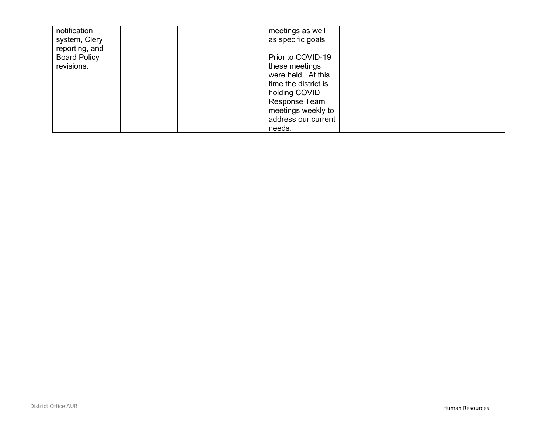| notification<br>system, Clery<br>reporting, and | meetings as well<br>as specific goals |  |
|-------------------------------------------------|---------------------------------------|--|
|                                                 |                                       |  |
| <b>Board Policy</b>                             | Prior to COVID-19                     |  |
| revisions.                                      | these meetings                        |  |
|                                                 | were held. At this                    |  |
|                                                 | time the district is                  |  |
|                                                 | holding COVID                         |  |
|                                                 | Response Team                         |  |
|                                                 | meetings weekly to                    |  |
|                                                 | address our current                   |  |
|                                                 | needs.                                |  |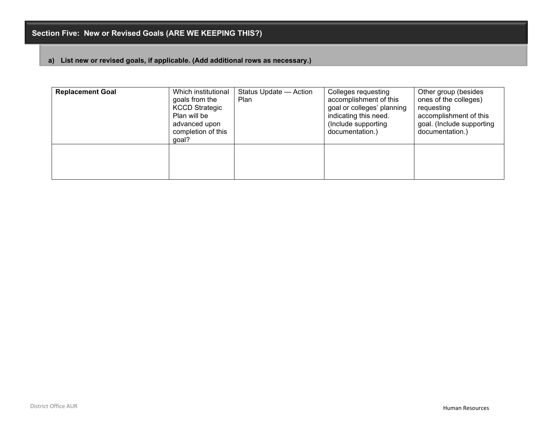## **a) List new or revised goals, if applicable. (Add additional rows as necessary.)**

| <b>Replacement Goal</b> | Which institutional<br>goals from the<br><b>KCCD Strategic</b><br>Plan will be<br>advanced upon<br>completion of this<br>qoal? | Status Update - Action<br>Plan | Colleges requesting<br>accomplishment of this<br>goal or colleges' planning<br>indicating this need.<br>(Include supporting)<br>documentation.) | Other group (besides<br>ones of the colleges)<br>requesting<br>accomplishment of this<br>goal. (Include supporting<br>documentation.) |
|-------------------------|--------------------------------------------------------------------------------------------------------------------------------|--------------------------------|-------------------------------------------------------------------------------------------------------------------------------------------------|---------------------------------------------------------------------------------------------------------------------------------------|
|                         |                                                                                                                                |                                |                                                                                                                                                 |                                                                                                                                       |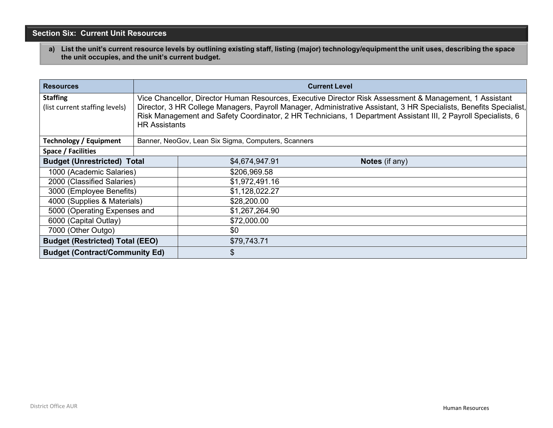# **Section Six: Current Unit Resources**

a) List the unit's current resource levels by outlining existing staff, listing (major) technology/equipment the unit uses, describing the space **the unit occupies, and the unit's current budget.**

| <b>Resources</b>                                  |                      |                                                     | <b>Current Level</b>                                                                                                                                                                                                                                                                                                                            |
|---------------------------------------------------|----------------------|-----------------------------------------------------|-------------------------------------------------------------------------------------------------------------------------------------------------------------------------------------------------------------------------------------------------------------------------------------------------------------------------------------------------|
| <b>Staffing</b><br>(list current staffing levels) | <b>HR Assistants</b> |                                                     | Vice Chancellor, Director Human Resources, Executive Director Risk Assessment & Management, 1 Assistant<br>Director, 3 HR College Managers, Payroll Manager, Administrative Assistant, 3 HR Specialists, Benefits Specialist,<br>Risk Management and Safety Coordinator, 2 HR Technicians, 1 Department Assistant III, 2 Payroll Specialists, 6 |
| <b>Technology / Equipment</b>                     |                      | Banner, NeoGov, Lean Six Sigma, Computers, Scanners |                                                                                                                                                                                                                                                                                                                                                 |
| Space / Facilities                                |                      |                                                     |                                                                                                                                                                                                                                                                                                                                                 |
| <b>Budget (Unrestricted) Total</b>                |                      | \$4,674,947.91                                      | <b>Notes</b> (if any)                                                                                                                                                                                                                                                                                                                           |
| 1000 (Academic Salaries)                          |                      | \$206,969.58                                        |                                                                                                                                                                                                                                                                                                                                                 |
| 2000 (Classified Salaries)                        |                      | \$1,972,491.16                                      |                                                                                                                                                                                                                                                                                                                                                 |
| 3000 (Employee Benefits)                          |                      | \$1,128,022.27                                      |                                                                                                                                                                                                                                                                                                                                                 |
| 4000 (Supplies & Materials)                       |                      | \$28,200.00                                         |                                                                                                                                                                                                                                                                                                                                                 |
| 5000 (Operating Expenses and                      |                      | \$1,267,264.90                                      |                                                                                                                                                                                                                                                                                                                                                 |
| 6000 (Capital Outlay)                             |                      | \$72,000.00                                         |                                                                                                                                                                                                                                                                                                                                                 |
| 7000 (Other Outgo)                                |                      | \$0                                                 |                                                                                                                                                                                                                                                                                                                                                 |
| <b>Budget (Restricted) Total (EEO)</b>            |                      | \$79,743.71                                         |                                                                                                                                                                                                                                                                                                                                                 |
| <b>Budget (Contract/Community Ed)</b>             |                      | \$                                                  |                                                                                                                                                                                                                                                                                                                                                 |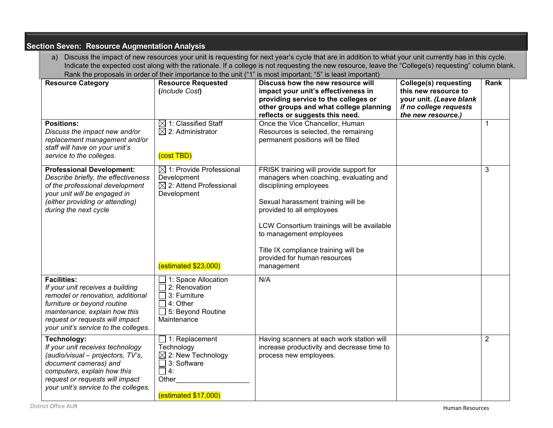| a)                                                                                                                                                                                                                                     |                                                                                                                                          | Discuss the impact of new resources your unit is requesting for next year's cycle that are in addition to what your unit currently has in this cycle.<br>Indicate the expected cost along with the rationale. If a college is not requesting the new resource, leave the "College(s) requesting" column blank.                                |                                                                                                                                 |                |
|----------------------------------------------------------------------------------------------------------------------------------------------------------------------------------------------------------------------------------------|------------------------------------------------------------------------------------------------------------------------------------------|-----------------------------------------------------------------------------------------------------------------------------------------------------------------------------------------------------------------------------------------------------------------------------------------------------------------------------------------------|---------------------------------------------------------------------------------------------------------------------------------|----------------|
| <b>Resource Category</b>                                                                                                                                                                                                               | <b>Resource Requested</b><br>(Include Cost)                                                                                              | Rank the proposals in order of their importance to the unit ("1" is most important; "5" is least important)<br>Discuss how the new resource will<br>impact your unit's effectiveness in<br>providing service to the colleges or<br>other groups and what college planning<br>reflects or suggests this need.                                  | <b>College(s) requesting</b><br>this new resource to<br>your unit. (Leave blank<br>if no college requests<br>the new resource.) | Rank           |
| <b>Positions:</b><br>Discuss the impact new and/or<br>replacement management and/or<br>staff will have on your unit's<br>service to the colleges.                                                                                      | $\boxtimes$ 1: Classified Staff<br>$\boxtimes$ 2: Administrator<br>(cost TBD)                                                            | Once the Vice Chancellor, Human<br>Resources is selected, the remaining<br>permanent positions will be filled                                                                                                                                                                                                                                 |                                                                                                                                 | $\mathbf 1$    |
| <b>Professional Development:</b><br>Describe briefly, the effectiveness<br>of the professional development<br>your unit will be engaged in<br>(either providing or attending)<br>during the next cycle                                 | $\boxtimes$ 1: Provide Professional<br>Development<br>$\boxtimes$ 2: Attend Professional<br>Development<br>(estimated \$23,000)          | FRISK training will provide support for<br>managers when coaching, evaluating and<br>disciplining employees<br>Sexual harassment training will be<br>provided to all employees<br>LCW Consortium trainings will be available<br>to management employees<br>Title IX compliance training will be<br>provided for human resources<br>management |                                                                                                                                 | 3              |
| <b>Facilities:</b><br>If your unit receives a building<br>remodel or renovation, additional<br>furniture or beyond routine<br>maintenance, explain how this<br>request or requests will impact<br>your unit's service to the colleges. | $\Box$ 1: Space Allocation<br>$\Box$ 2: Renovation<br>$\Box$ 3: Furniture<br>$\Box$ 4: Other<br>$\Box$ 5: Beyond Routine<br>Maintenance  | N/A                                                                                                                                                                                                                                                                                                                                           |                                                                                                                                 |                |
| Technology:<br>If your unit receives technology<br>(audio/visual - projectors, TV's,<br>document cameras) and<br>computers, explain how this<br>request or requests will impact<br>your unit's service to the colleges.                | $\Box$ 1: Replacement<br>Technology<br>$\boxtimes$ 2: New Technology<br>$\Box$ 3: Software<br>$\Box$ 4:<br>Other<br>(cstimated \$17,000) | Having scanners at each work station will<br>increase productivity and decrease time to<br>process new employees.                                                                                                                                                                                                                             |                                                                                                                                 | $\overline{2}$ |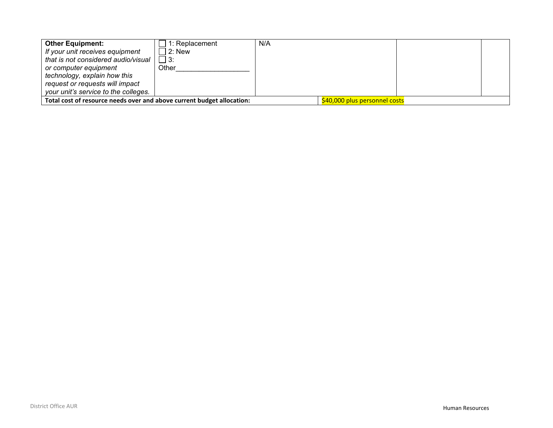| <b>Other Equipment:</b>                                                | 1: Replacement | N/A                           |  |
|------------------------------------------------------------------------|----------------|-------------------------------|--|
| If your unit receives equipment                                        | $2:$ New       |                               |  |
| that is not considered audio/visual                                    | $\Box$ 3:      |                               |  |
| or computer equipment                                                  | Other          |                               |  |
| technology, explain how this                                           |                |                               |  |
| request or requests will impact                                        |                |                               |  |
| your unit's service to the colleges.                                   |                |                               |  |
| Total cost of resource needs over and above current budget allocation: |                | \$40,000 plus personnel costs |  |